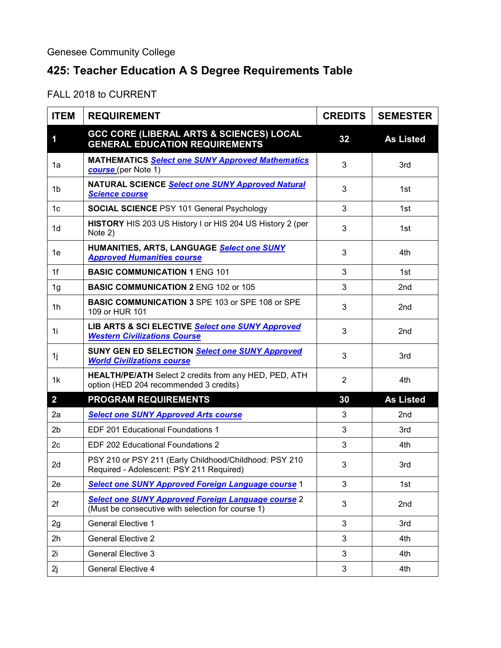## **425: Teacher Education A S Degree Requirements Table**

FALL 2018 to CURRENT

| <b>ITEM</b>    | <b>REQUIREMENT</b>                                                                                             | <b>CREDITS</b> | <b>SEMESTER</b>  |
|----------------|----------------------------------------------------------------------------------------------------------------|----------------|------------------|
| 1              | <b>GCC CORE (LIBERAL ARTS &amp; SCIENCES) LOCAL</b><br><b>GENERAL EDUCATION REQUIREMENTS</b>                   | 32             | <b>As Listed</b> |
| 1a             | <b>MATHEMATICS Select one SUNY Approved Mathematics</b><br>course (per Note 1)                                 | 3              | 3rd              |
| 1b             | NATURAL SCIENCE Select one SUNY Approved Natural<br><b>Science course</b>                                      | 3              | 1st              |
| 1 <sub>c</sub> | <b>SOCIAL SCIENCE PSY 101 General Psychology</b>                                                               | 3              | 1st              |
| 1 <sub>d</sub> | HISTORY HIS 203 US History I or HIS 204 US History 2 (per<br>Note 2)                                           | 3              | 1st              |
| 1е             | HUMANITIES, ARTS, LANGUAGE Select one SUNY<br><b>Approved Humanities course</b>                                | 3              | 4th              |
| 1f             | <b>BASIC COMMUNICATION 1 ENG 101</b>                                                                           | 3              | 1st              |
| 1g             | <b>BASIC COMMUNICATION 2 ENG 102 or 105</b>                                                                    | 3              | 2 <sub>nd</sub>  |
| 1h             | <b>BASIC COMMUNICATION 3 SPE 103 or SPE 108 or SPE</b><br>109 or HUR 101                                       | 3              | 2 <sub>nd</sub>  |
| 1i             | LIB ARTS & SCI ELECTIVE Select one SUNY Approved<br><b>Western Civilizations Course</b>                        | 3              | 2 <sub>nd</sub>  |
| 1j             | SUNY GEN ED SELECTION Select one SUNY Approved<br><b>World Civilizations course</b>                            | 3              | 3rd              |
| 1k             | HEALTH/PE/ATH Select 2 credits from any HED, PED, ATH<br>option (HED 204 recommended 3 credits)                | $\overline{2}$ | 4th              |
| $\overline{2}$ | <b>PROGRAM REQUIREMENTS</b>                                                                                    | 30             | <b>As Listed</b> |
| 2a             | <b>Select one SUNY Approved Arts course</b>                                                                    | 3              | 2 <sub>nd</sub>  |
| 2 <sub>b</sub> | EDF 201 Educational Foundations 1                                                                              | 3              | 3rd              |
| 2 <sub>c</sub> | <b>EDF 202 Educational Foundations 2</b>                                                                       | 3              | 4th              |
| 2d             | PSY 210 or PSY 211 (Early Childhood/Childhood: PSY 210<br>Required - Adolescent: PSY 211 Required)             | 3              | 3rd              |
| 2e             | <b>Select one SUNY Approved Foreign Language course 1</b>                                                      | 3              | 1st              |
| 2f             | <b>Select one SUNY Approved Foreign Language course 2</b><br>(Must be consecutive with selection for course 1) | 3              | 2nd              |
| 2g             | <b>General Elective 1</b>                                                                                      | 3              | 3rd              |
| 2 <sub>h</sub> | <b>General Elective 2</b>                                                                                      | 3              | 4th              |
| 2i             | <b>General Elective 3</b>                                                                                      | 3              | 4th              |
| 2j             | <b>General Elective 4</b>                                                                                      | $\mathfrak{S}$ | 4th              |